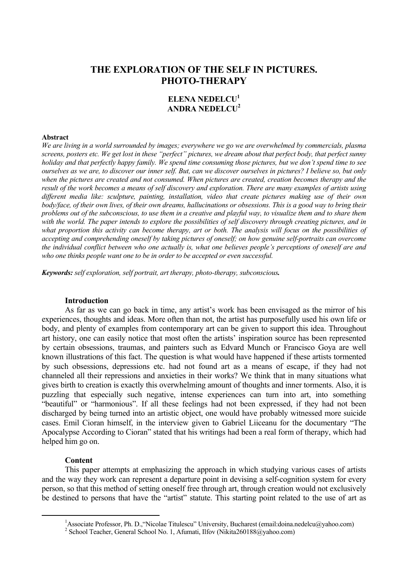# **THE EXPLORATION OF THE SELF IN PICTURES. PHOTO-THERAPY**

## **ELENA NEDELCU1 ANDRA NEDELCU2**

#### **Abstract**

*We are living in a world surrounded by images; everywhere we go we are overwhelmed by commercials, plasma screens, posters etc. We get lost in these "perfect" pictures, we dream about that perfect body, that perfect sunny holiday and that perfectly happy family. We spend time consuming those pictures, but we don't spend time to see ourselves as we are, to discover our inner self. But, can we discover ourselves in pictures? I believe so, but only when the pictures are created and not consumed. When pictures are created, creation becomes therapy and the result of the work becomes a means of self discovery and exploration. There are many examples of artists using different media like: sculpture, painting, installation, video that create pictures making use of their own body/face, of their own lives, of their own dreams, hallucinations or obsessions. This is a good way to bring their problems out of the subconscious, to use them in a creative and playful way, to visualize them and to share them* with the world. The paper intends to explore the possibilities of self discovery through creating pictures, and in what proportion this activity can become therapy, art or both. The analysis will focus on the possibilities of *accepting and comprehending oneself by taking pictures of oneself; on how genuine self-portraits can overcome the individual conflict between who one actually is, what one believes people's perceptions of oneself are and who one thinks people want one to be in order to be accepted or even successful.* 

*Keywords: self exploration, self portrait, art therapy, photo-therapy, subconscious.* 

### **Introduction**

As far as we can go back in time, any artist's work has been envisaged as the mirror of his experiences, thoughts and ideas. More often than not, the artist has purposefully used his own life or body, and plenty of examples from contemporary art can be given to support this idea. Throughout art history, one can easily notice that most often the artists' inspiration source has been represented by certain obsessions, traumas, and painters such as Edvard Munch or Francisco Goya are well known illustrations of this fact. The question is what would have happened if these artists tormented by such obsessions, depressions etc. had not found art as a means of escape, if they had not channeled all their repressions and anxieties in their works? We think that in many situations what gives birth to creation is exactly this overwhelming amount of thoughts and inner torments. Also, it is puzzling that especially such negative, intense experiences can turn into art, into something "beautiful" or "harmonious". If all these feelings had not been expressed, if they had not been discharged by being turned into an artistic object, one would have probably witnessed more suicide cases. Emil Cioran himself, in the interview given to Gabriel Liiceanu for the documentary "The Apocalypse According to Cioran" stated that his writings had been a real form of therapy, which had helped him go on.

#### **Content**

This paper attempts at emphasizing the approach in which studying various cases of artists and the way they work can represent a departure point in devising a self-cognition system for every person, so that this method of setting oneself free through art, through creation would not exclusively be destined to persons that have the "artist" statute. This starting point related to the use of art as

 $\frac{1}{1}$ <sup>1</sup> Associate Professor, Ph. D., "Nicolae Titulescu" University, Bucharest (email:doina.nedelcu@yahoo.com)

<sup>&</sup>lt;sup>2</sup> School Teacher, General School No. 1, Afumati, Ilfov (Nikita260188@yahoo.com)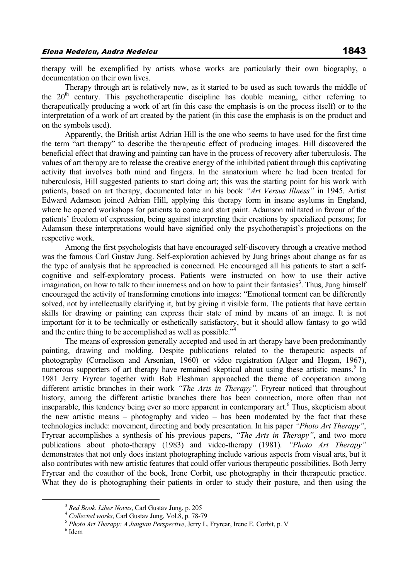therapy will be exemplified by artists whose works are particularly their own biography, a documentation on their own lives.

Therapy through art is relatively new, as it started to be used as such towards the middle of the  $20<sup>th</sup>$  century. This psychotherapeutic discipline has double meaning, either referring to therapeutically producing a work of art (in this case the emphasis is on the process itself) or to the interpretation of a work of art created by the patient (in this case the emphasis is on the product and on the symbols used).

Apparently, the British artist Adrian Hill is the one who seems to have used for the first time the term "art therapy" to describe the therapeutic effect of producing images. Hill discovered the beneficial effect that drawing and painting can have in the process of recovery after tuberculosis. The values of art therapy are to release the creative energy of the inhibited patient through this captivating activity that involves both mind and fingers. In the sanatorium where he had been treated for tuberculosis, Hill suggested patients to start doing art; this was the starting point for his work with patients, based on art therapy, documented later in his book *"Art Versus Illness"* in 1945. Artist Edward Adamson joined Adrian Hill, applying this therapy form in insane asylums in England, where he opened workshops for patients to come and start paint. Adamson militated in favour of the patients' freedom of expression, being against interpreting their creations by specialized persons; for Adamson these interpretations would have signified only the psychotherapist's projections on the respective work.

Among the first psychologists that have encouraged self-discovery through a creative method was the famous Carl Gustav Jung. Self-exploration achieved by Jung brings about change as far as the type of analysis that he approached is concerned. He encouraged all his patients to start a selfcognitive and self-exploratory process. Patients were instructed on how to use their active imagination, on how to talk to their innerness and on how to paint their fantasies<sup>3</sup>. Thus, Jung himself encouraged the activity of transforming emotions into images: "Emotional torment can be differently solved, not by intellectually clarifying it, but by giving it visible form. The patients that have certain skills for drawing or painting can express their state of mind by means of an image. It is not important for it to be technically or esthetically satisfactory, but it should allow fantasy to go wild and the entire thing to be accomplished as well as possible."<sup>4</sup>

The means of expression generally accepted and used in art therapy have been predominantly painting, drawing and molding. Despite publications related to the therapeutic aspects of photography (Cornelison and Arsenian, 1960) or video registration (Alger and Hogan, 1967), numerous supporters of art therapy have remained skeptical about using these artistic means.<sup>5</sup> In 1981 Jerry Fryrear together with Bob Fleshman approached the theme of cooperation among different artistic branches in their work *"The Arts in Therapy"*. Fryrear noticed that throughout history, among the different artistic branches there has been connection, more often than not inseparable, this tendency being ever so more apparent in contemporary art.<sup>6</sup> Thus, skepticism about the new artistic means – photography and video – has been moderated by the fact that these technologies include: movement, directing and body presentation. In his paper *"Photo Art Therapy"*, Fryrear accomplishes a synthesis of his previous papers, *"The Arts in Therapy"*, and two more publications about photo-therapy (1983) and video-therapy (1981). *"Photo Art Therapy"* demonstrates that not only does instant photographing include various aspects from visual arts, but it also contributes with new artistic features that could offer various therapeutic possibilities. Both Jerry Fryrear and the coauthor of the book, Irene Corbit, use photography in their therapeutic practice. What they do is photographing their patients in order to study their posture, and then using the

<sup>&</sup>lt;sup>3</sup> *Red Book. Liber Novus*, Carl Gustav Jung, p. 205<br><sup>4</sup> *Collected works*, Carl Gustav Jung, Vol.8, p. 78-79<br><sup>5</sup> *Photo Art Therapy: A Jungian Perspective*, Jerry L. Fryrear, Irene E. Corbit, p. V

 $6$ Idem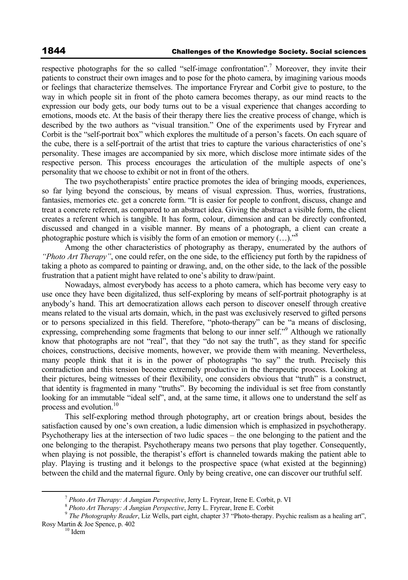respective photographs for the so called "self-image confrontation".<sup>7</sup> Moreover, they invite their patients to construct their own images and to pose for the photo camera, by imagining various moods or feelings that characterize themselves. The importance Fryrear and Corbit give to posture, to the way in which people sit in front of the photo camera becomes therapy, as our mind reacts to the expression our body gets, our body turns out to be a visual experience that changes according to emotions, moods etc. At the basis of their therapy there lies the creative process of change, which is described by the two authors as "visual transition." One of the experiments used by Fryrear and Corbit is the "self-portrait box" which explores the multitude of a person's facets. On each square of the cube, there is a self-portrait of the artist that tries to capture the various characteristics of one's personality. These images are accompanied by six more, which disclose more intimate sides of the respective person. This process encourages the articulation of the multiple aspects of one's personality that we choose to exhibit or not in front of the others.

The two psychotherapists' entire practice promotes the idea of bringing moods, experiences, so far lying beyond the conscious, by means of visual expression. Thus, worries, frustrations, fantasies, memories etc. get a concrete form. "It is easier for people to confront, discuss, change and treat a concrete referent, as compared to an abstract idea. Giving the abstract a visible form, the client creates a referent which is tangible. It has form, colour, dimension and can be directly confronted, discussed and changed in a visible manner. By means of a photograph, a client can create a photographic posture which is visibly the form of an emotion or memory  $(...).$ <sup>8</sup>

Among the other characteristics of photography as therapy, enumerated by the authors of *"Photo Art Therapy"*, one could refer, on the one side, to the efficiency put forth by the rapidness of taking a photo as compared to painting or drawing, and, on the other side, to the lack of the possible frustration that a patient might have related to one's ability to draw/paint.

Nowadays, almost everybody has access to a photo camera, which has become very easy to use once they have been digitalized, thus self-exploring by means of self-portrait photography is at anybody's hand. This art democratization allows each person to discover oneself through creative means related to the visual arts domain, which, in the past was exclusively reserved to gifted persons or to persons specialized in this field. Therefore, "photo-therapy" can be "a means of disclosing, expressing, comprehending some fragments that belong to our inner self."<sup>9</sup> Although we rationally know that photographs are not "real", that they "do not say the truth", as they stand for specific choices, constructions, decisive moments, however, we provide them with meaning. Nevertheless, many people think that it is in the power of photographs "to say" the truth. Precisely this contradiction and this tension become extremely productive in the therapeutic process. Looking at their pictures, being witnesses of their flexibility, one considers obvious that "truth" is a construct, that identity is fragmented in many "truths". By becoming the individual is set free from constantly looking for an immutable "ideal self", and, at the same time, it allows one to understand the self as process and evolution.<sup>10</sup>

This self-exploring method through photography, art or creation brings about, besides the satisfaction caused by one's own creation, a ludic dimension which is emphasized in psychotherapy. Psychotherapy lies at the intersection of two ludic spaces – the one belonging to the patient and the one belonging to the therapist. Psychotherapy means two persons that play together. Consequently, when playing is not possible, the therapist's effort is channeled towards making the patient able to play. Playing is trusting and it belongs to the prospective space (what existed at the beginning) between the child and the maternal figure. Only by being creative, one can discover our truthful self.

 $^7$  Photo Art Therapy: A Jungian Perspective, Jerry L. Fryrear, Irene E. Corbit, p. VI<br>  $^8$  Photo Art Therapy: A Jungian Perspective, Jerry L. Fryrear, Irene E. Corbit<br>  $^9$  The Photography Reader, Liz Wells, part eight Rosy Martin & Joe Spence, p. 402<br><sup>10</sup> Idem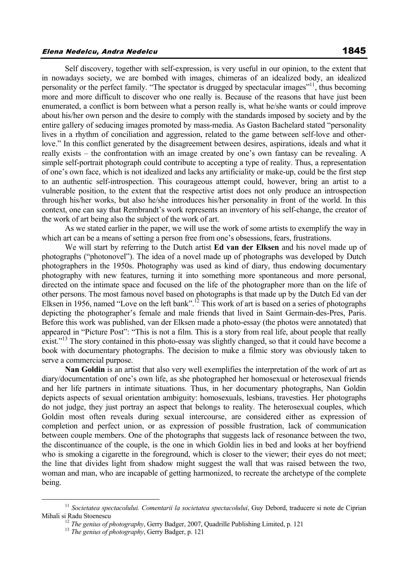Self discovery, together with self-expression, is very useful in our opinion, to the extent that in nowadays society, we are bombed with images, chimeras of an idealized body, an idealized personality or the perfect family. "The spectator is drugged by spectacular images"11, thus becoming more and more difficult to discover who one really is. Because of the reasons that have just been enumerated, a conflict is born between what a person really is, what he/she wants or could improve about his/her own person and the desire to comply with the standards imposed by society and by the entire gallery of seducing images promoted by mass-media. As Gaston Bachelard stated "personality lives in a rhythm of conciliation and aggression, related to the game between self-love and otherlove." In this conflict generated by the disagreement between desires, aspirations, ideals and what it really exists – the confrontation with an image created by one's own fantasy can be revealing. A simple self-portrait photograph could contribute to accepting a type of reality. Thus, a representation of one's own face, which is not idealized and lacks any artificiality or make-up, could be the first step to an authentic self-introspection. This courageous attempt could, however, bring an artist to a vulnerable position, to the extent that the respective artist does not only produce an introspection through his/her works, but also he/she introduces his/her personality in front of the world. In this context, one can say that Rembrandt's work represents an inventory of his self-change, the creator of the work of art being also the subject of the work of art.

As we stated earlier in the paper, we will use the work of some artists to exemplify the way in which art can be a means of setting a person free from one's obsessions, fears, frustrations.

We will start by referring to the Dutch artist **Ed van der Elksen** and his novel made up of photographs ("photonovel"). The idea of a novel made up of photographs was developed by Dutch photographers in the 1950s. Photography was used as kind of diary, thus endowing documentary photography with new features, turning it into something more spontaneous and more personal, directed on the intimate space and focused on the life of the photographer more than on the life of other persons. The most famous novel based on photographs is that made up by the Dutch Ed van der Elksen in 1956, named "Love on the left bank".<sup>12</sup> This work of art is based on a series of photographs depicting the photographer's female and male friends that lived in Saint Germain-des-Pres, Paris. Before this work was published, van der Elksen made a photo-essay (the photos were annotated) that appeared in "Picture Post": "This is not a film. This is a story from real life, about people that really exist."<sup>13</sup> The story contained in this photo-essay was slightly changed, so that it could have become a book with documentary photographs. The decision to make a filmic story was obviously taken to serve a commercial purpose.

**Nan Goldin** is an artist that also very well exemplifies the interpretation of the work of art as diary/documentation of one's own life, as she photographed her homosexual or heterosexual friends and her life partners in intimate situations. Thus, in her documentary photographs, Nan Goldin depicts aspects of sexual orientation ambiguity: homosexuals, lesbians, travesties. Her photographs do not judge, they just portray an aspect that belongs to reality. The heterosexual couples, which Goldin most often reveals during sexual intercourse, are considered either as expression of completion and perfect union, or as expression of possible frustration, lack of communication between couple members. One of the photographs that suggests lack of resonance between the two, the discontinuance of the couple, is the one in which Goldin lies in bed and looks at her boyfriend who is smoking a cigarette in the foreground, which is closer to the viewer; their eyes do not meet; the line that divides light from shadow might suggest the wall that was raised between the two, woman and man, who are incapable of getting harmonized, to recreate the archetype of the complete being.

<sup>&</sup>lt;sup>11</sup> Societatea spectacolului. Comentarii la societatea spectacolului, Guy Debord, traducere si note de Ciprian Mihali si Radu Stoenescu

<sup>&</sup>lt;sup>12</sup> *The genius of photography*, Gerry Badger, 2007, Quadrille Publishing Limited, p. 121<sup>3</sup> *The genius of photography*, Gerry Badger, p. 121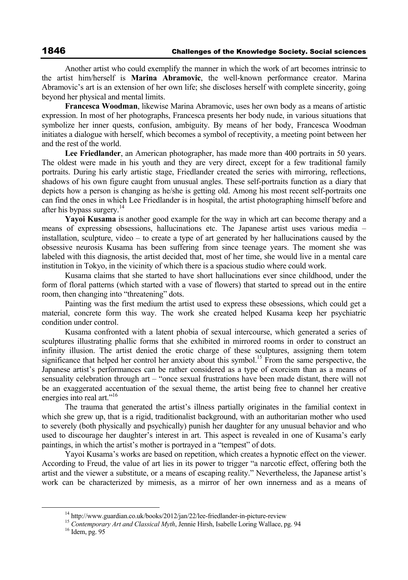Another artist who could exemplify the manner in which the work of art becomes intrinsic to the artist him/herself is **Marina Abramovic**, the well-known performance creator. Marina Abramovic's art is an extension of her own life; she discloses herself with complete sincerity, going beyond her physical and mental limits.

**Francesca Woodman**, likewise Marina Abramovic, uses her own body as a means of artistic expression. In most of her photographs, Francesca presents her body nude, in various situations that symbolize her inner quests, confusion, ambiguity. By means of her body, Francesca Woodman initiates a dialogue with herself, which becomes a symbol of receptivity, a meeting point between her and the rest of the world.

**Lee Friedlander**, an American photographer, has made more than 400 portraits in 50 years. The oldest were made in his youth and they are very direct, except for a few traditional family portraits. During his early artistic stage, Friedlander created the series with mirroring, reflections, shadows of his own figure caught from unusual angles. These self-portraits function as a diary that depicts how a person is changing as he/she is getting old. Among his most recent self-portraits one can find the ones in which Lee Friedlander is in hospital, the artist photographing himself before and after his bypass surgery.<sup>14</sup>

**Yayoi Kusama** is another good example for the way in which art can become therapy and a means of expressing obsessions, hallucinations etc. The Japanese artist uses various media – installation, sculpture, video – to create a type of art generated by her hallucinations caused by the obsessive neurosis Kusama has been suffering from since teenage years. The moment she was labeled with this diagnosis, the artist decided that, most of her time, she would live in a mental care institution in Tokyo, in the vicinity of which there is a spacious studio where could work.

Kusama claims that she started to have short hallucinations ever since childhood, under the form of floral patterns (which started with a vase of flowers) that started to spread out in the entire room, then changing into "threatening" dots.

Painting was the first medium the artist used to express these obsessions, which could get a material, concrete form this way. The work she created helped Kusama keep her psychiatric condition under control.

Kusama confronted with a latent phobia of sexual intercourse, which generated a series of sculptures illustrating phallic forms that she exhibited in mirrored rooms in order to construct an infinity illusion. The artist denied the erotic charge of these sculptures, assigning them totem significance that helped her control her anxiety about this symbol.<sup>15</sup> From the same perspective, the Japanese artist's performances can be rather considered as a type of exorcism than as a means of sensuality celebration through art – "once sexual frustrations have been made distant, there will not be an exaggerated accentuation of the sexual theme, the artist being free to channel her creative energies into real art."<sup>16</sup>

The trauma that generated the artist's illness partially originates in the familial context in which she grew up, that is a rigid, traditionalist background, with an authoritarian mother who used to severely (both physically and psychically) punish her daughter for any unusual behavior and who used to discourage her daughter's interest in art. This aspect is revealed in one of Kusama's early paintings, in which the artist's mother is portrayed in a "tempest" of dots.

Yayoi Kusama's works are based on repetition, which creates a hypnotic effect on the viewer. According to Freud, the value of art lies in its power to trigger "a narcotic effect, offering both the artist and the viewer a substitute, or a means of escaping reality." Nevertheless, the Japanese artist's work can be characterized by mimesis, as a mirror of her own innerness and as a means of

<sup>&</sup>lt;sup>14</sup> http://www.guardian.co.uk/books/2012/jan/22/lee-friedlander-in-picture-review <sup>15</sup> *Contemporary Art and Classical Myth*, Jennie Hirsh, Isabelle Loring Wallace, pg. 94 <sup>16</sup> Idem. pg. 95